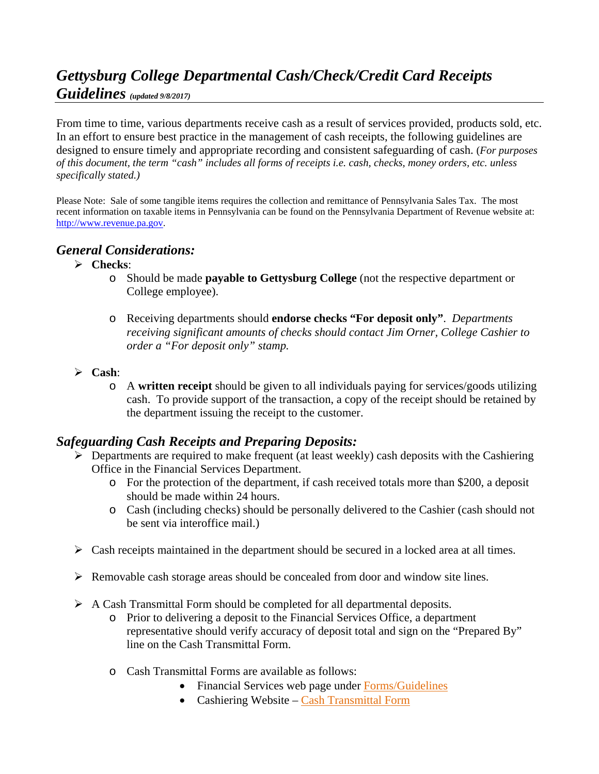# *Gettysburg College Departmental Cash/Check/Credit Card Receipts Guidelines (updated 9/8/2017)*

From time to time, various departments receive cash as a result of services provided, products sold, etc. In an effort to ensure best practice in the management of cash receipts, the following guidelines are designed to ensure timely and appropriate recording and consistent safeguarding of cash. (*For purposes of this document, the term "cash" includes all forms of receipts i.e. cash, checks, money orders, etc. unless specifically stated.)* 

Please Note: Sale of some tangible items requires the collection and remittance of Pennsylvania Sales Tax. The most recent information on taxable items in Pennsylvania can be found on the Pennsylvania Department of Revenue website at: [http://www.revenue.pa.gov.](http://www.revenue.pa.gov)

## *General Considerations:*

- **Checks**:
	- o Should be made **payable to Gettysburg College** (not the respective department or College employee).
	- o Receiving departments should **endorse checks "For deposit only"**. *Departments receiving significant amounts of checks should contact Jim Orner, College Cashier to order a "For deposit only" stamp.*
- **Cash**:
	- o A **written receipt** should be given to all individuals paying for services/goods utilizing cash. To provide support of the transaction, a copy of the receipt should be retained by the department issuing the receipt to the customer.

#### *Safeguarding Cash Receipts and Preparing Deposits:*

- $\triangleright$  Departments are required to make frequent (at least weekly) cash deposits with the Cashiering Office in the Financial Services Department.
	- o For the protection of the department, if cash received totals more than \$200, a deposit should be made within 24 hours.
	- o Cash (including checks) should be personally delivered to the Cashier (cash should not be sent via interoffice mail.)
- $\triangleright$  Cash receipts maintained in the department should be secured in a locked area at all times.
- $\triangleright$  Removable cash storage areas should be concealed from door and window site lines.
- A Cash Transmittal Form should be completed for all departmental deposits.
	- o Prior to delivering a deposit to the Financial Services Office, a department representative should verify accuracy of deposit total and sign on the "Prepared By" line on the Cash Transmittal Form.
	- o Cash Transmittal Forms are available as follows:
		- Financial Services web page under Forms/Guidelines
		- Cashiering Website Cash Transmittal Form